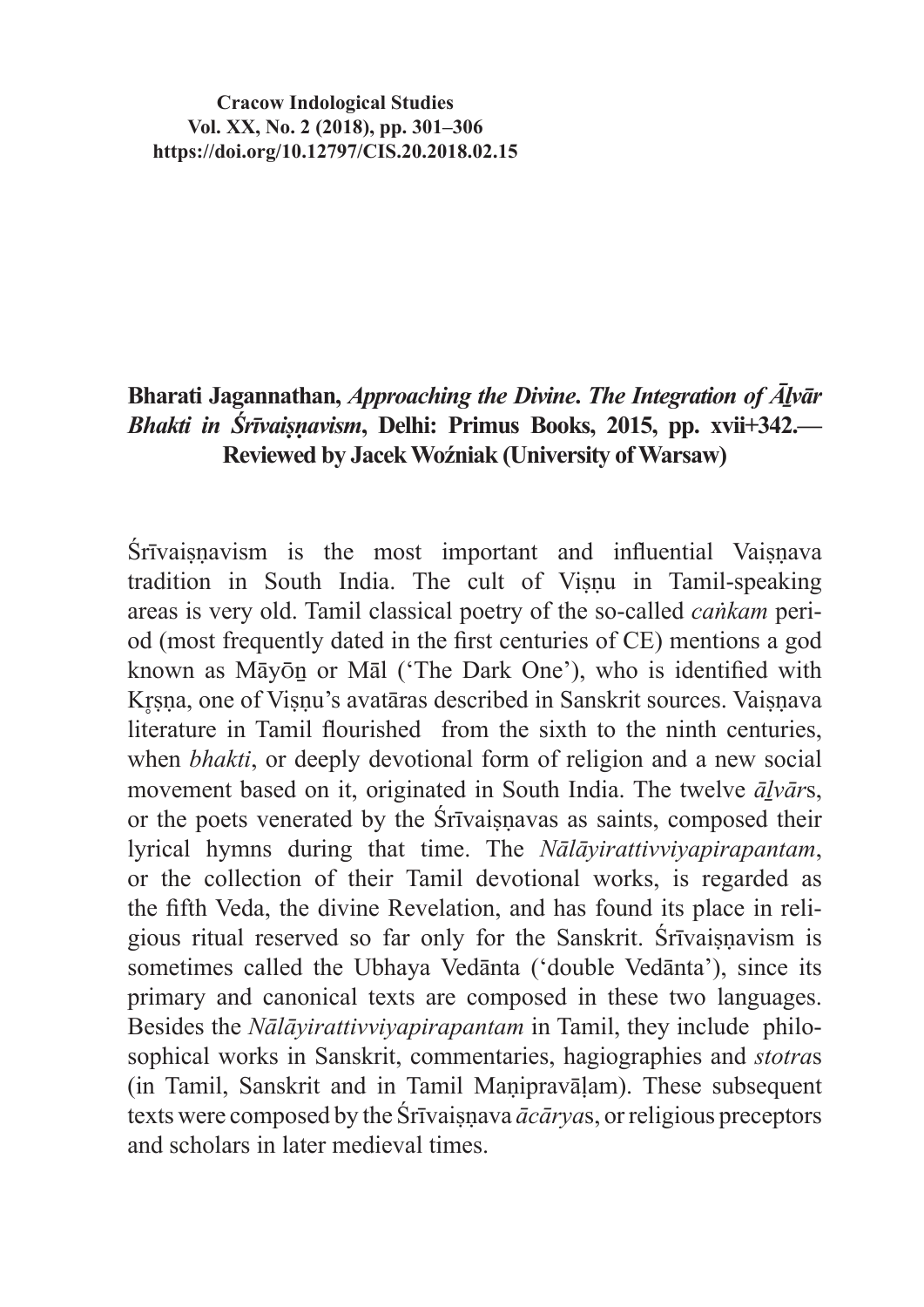**Cracow Indological Studies Vol. XX, No. 2 (2018), pp. 301–306 https://doi.org/10.12797/CIS.20.2018.02.15**

## **Bharati Jagannathan,** *Approaching the Divine***.** *The Integration of Āḻvār Bhakti in Śrīvaiṣṇavism***, Delhi: Primus Books, 2015, pp. xvii+342.— Reviewed by Jacek Woźniak (University of Warsaw)**

Śrīvaisnavism is the most important and influential Vaisnava tradition in South India. The cult of Visnu in Tamil-speaking areas is very old. Tamil classical poetry of the so-called *caṅkam* period (most frequently dated in the first centuries of CE) mentions a god known as Māyōṉ or Māl ('The Dark One'), who is identified with Krsna, one of Visnu's avatāras described in Sanskrit sources. Vaișnava literature in Tamil flourished from the sixth to the ninth centuries, when *bhakti*, or deeply devotional form of religion and a new social movement based on it, originated in South India. The twelve *āḻvār*s, or the poets venerated by the Śrīvaiṣṇavas as saints, composed their lyrical hymns during that time. The *Nālāyirattivviyapirapantam*, or the collection of their Tamil devotional works, is regarded as the fifth Veda, the divine Revelation, and has found its place in religious ritual reserved so far only for the Sanskrit. Śrīvaisnavism is sometimes called the Ubhaya Vedānta ('double Vedānta'), since its primary and canonical texts are composed in these two languages. Besides the *Nālāyirattivviyapirapantam* in Tamil, they include philosophical works in Sanskrit, commentaries, hagiographies and *stotra*s (in Tamil, Sanskrit and in Tamil Maṇipravāḷam). These subsequent texts were composed by the Śrīvaisnava  $\bar{a}c\bar{a}rvas$ , or religious preceptors and scholars in later medieval times.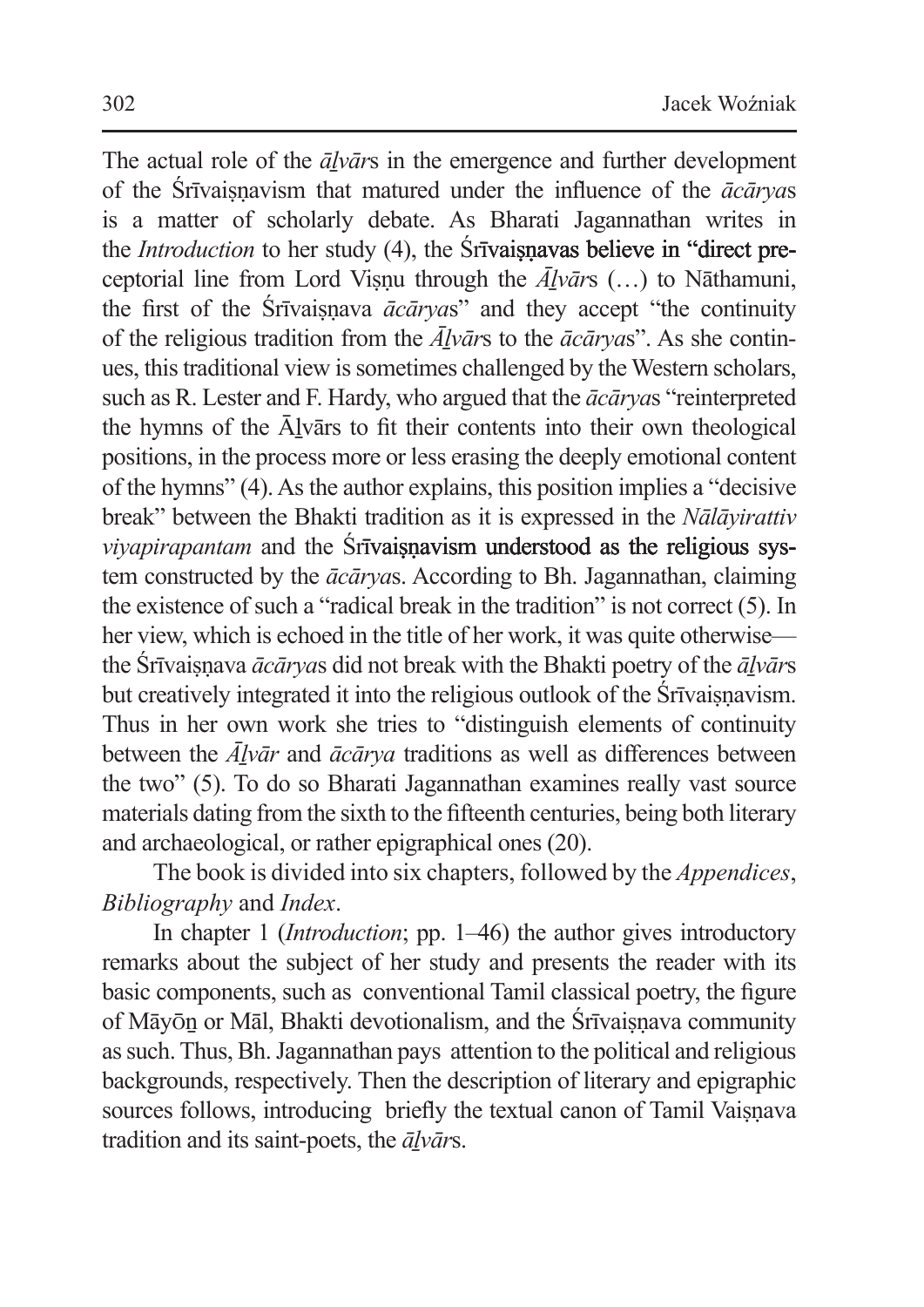The actual role of the  $\bar{a}l\bar{v}\bar{a}r\bar{s}$  in the emergence and further development of the Śrīvaiṣṇavism that matured under the influence of the *ācārya*s is a matter of scholarly debate. As Bharati Jagannathan writes in the *Introduction* to her study (4), the Śrīvaisnavas believe in "direct preceptorial line from Lord Visnu through the  $\overline{A}$ *lvars* (...) to Nathamuni, the first of the Srīvaisnava  $\bar{a}c\bar{a}r\gamma a s$ " and they accept "the continuity" of the religious tradition from the  $\overline{A}$ *lvars* to the  $\overline{a}$ *caryas*". As she continues, this traditional view is sometimes challenged by the Western scholars, such as R. Lester and F. Hardy, who argued that the *ācārya*s "reinterpreted the hymns of the Ālvārs to fit their contents into their own theological positions, in the process more or less erasing the deeply emotional content of the hymns" (4).As the author explains, this position implies a "decisive break" between the Bhakti tradition as it is expressed in the *Nālāyirattiv viyapirapantam* and the **Srīvaiṣṇavism understood as the religious sys**tem constructed by the *ācārya*s. According to Bh. Jagannathan, claiming the existence of such a "radical break in the tradition" is not correct (5). In her view, which is echoed in the title of her work, it was quite otherwise the Śrīvaiṣṇava *ācārya*s did not break with the Bhakti poetry of the *āḻvār*s but creatively integrated it into the religious outlook of the Śrīvaisnavism. Thus in her own work she tries to "distinguish elements of continuity between the *Āḻvār* and *ācārya* traditions as well as differences between the two" (5). To do so Bharati Jagannathan examines really vast source materials dating from the sixth to the fifteenth centuries, being both literary and archaeological, or rather epigraphical ones (20).

The book is divided into six chapters, followed by the *Appendices*, *Bibliography* and *Index*.

In chapter 1 (*Introduction*; pp. 1–46) the author gives introductory remarks about the subject of her study and presents the reader with its basic components, such as conventional Tamil classical poetry, the figure of Māyōn or Māl, Bhakti devotionalism, and the Śrīvaisnava community assuch. Thus, Bh.Jagannathan pays attention to the political and religious backgrounds, respectively. Then the description of literary and epigraphic sources follows, introducing briefly the textual canon of Tamil Vaiṣṇava tradition and its saint-poets, the *āḻvār*s.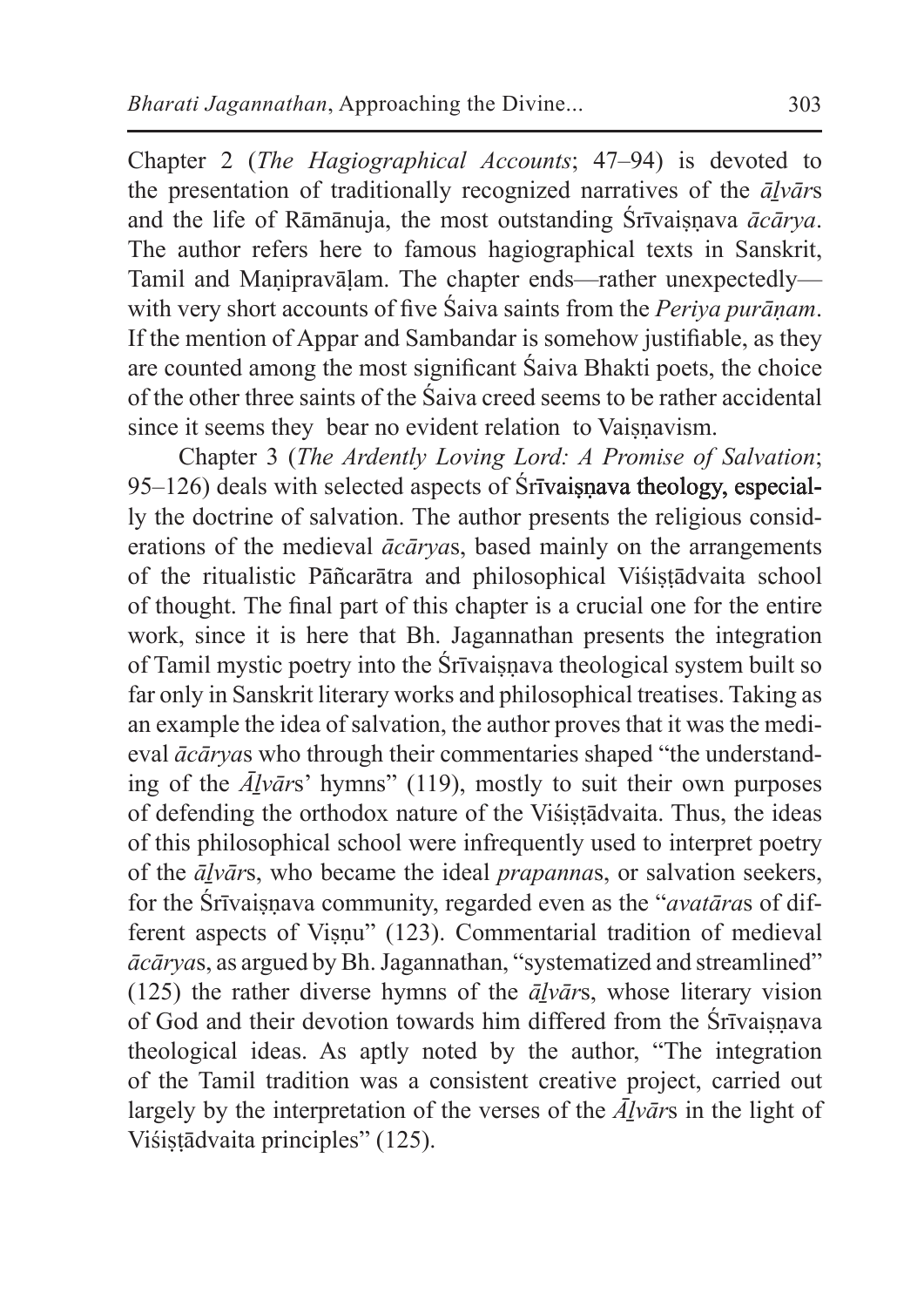Chapter 2 (*The Hagiographical Accounts*; 47–94) is devoted to the presentation of traditionally recognized narratives of the *āḻvār*s and the life of Rāmānuja, the most outstanding Śrīvaiṣṇava *ācārya*. The author refers here to famous hagiographical texts in Sanskrit, Tamil and Manipravālam. The chapter ends—rather unexpectedly with very short accounts of five Śaiva saints from the *Periya purāṇam*. If the mention of Appar and Sambandar is somehow justifiable, as they are counted among the most significant Śaiva Bhakti poets, the choice of the other three saints of the Śaiva creed seems to be rather accidental since it seems they bear no evident relation to Vaisnavism.

Chapter 3 (*The Ardently Loving Lord: A Promise of Salvation*; 95–126) deals with selected aspects of Śrīvaiṣṇava theology, especially the doctrine of salvation. The author presents the religious considerations of the medieval *ācārya*s, based mainly on the arrangements of the ritualistic Pāñcarātra and philosophical Viśistādvaita school of thought. The final part of this chapter is a crucial one for the entire work, since it is here that Bh. Jagannathan presents the integration of Tamil mystic poetry into the Śrīvaiṣṇava theological system built so far only in Sanskrit literary works and philosophical treatises. Taking as an example the idea of salvation, the author proves that it was the medieval *ācārya*s who through their commentaries shaped "the understanding of the *Āḻvār*s' hymns" (119), mostly to suit their own purposes of defending the orthodox nature of the Viśistādvaita. Thus, the ideas of this philosophical school were infrequently used to interpret poetry of the *āḻvār*s, who became the ideal *prapanna*s, or salvation seekers, for the Śrīvaiṣṇava community, regarded even as the "*avatāra*s of different aspects of Viṣṇu" (123). Commentarial tradition of medieval *ācārya*s, as argued by Bh.Jagannathan, "systematized and streamlined" (125) the rather diverse hymns of the  $\bar{a}$ *lvars*, whose literary vision of God and their devotion towards him differed from the Śrīvaisnava theological ideas. As aptly noted by the author, "The integration of the Tamil tradition was a consistent creative project, carried out largely by the interpretation of the verses of the *Āḻvār*s in the light of Viśistādvaita principles" (125).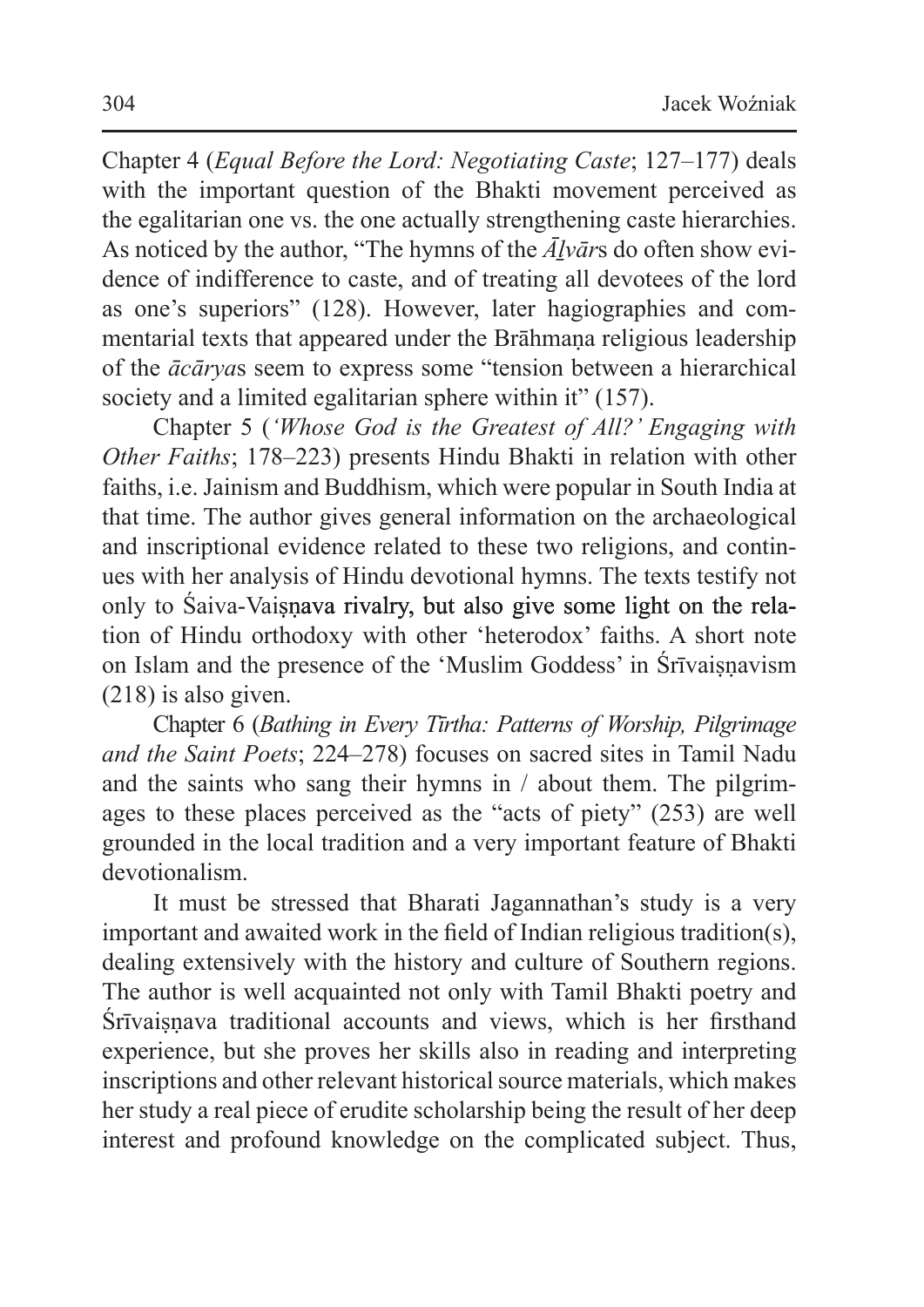Chapter 4 (*Equal Before the Lord: Negotiating Caste*; 127–177) deals with the important question of the Bhakti movement perceived as the egalitarian one vs. the one actually strengthening caste hierarchies. As noticed by the author, "The hymns of the *Āḻvār*s do often show evidence of indifference to caste, and of treating all devotees of the lord as one's superiors" (128). However, later hagiographies and commentarial texts that appeared under the Brāhmana religious leadership of the *ācārya*s seem to express some "tension between a hierarchical society and a limited egalitarian sphere within it" (157).

Chapter 5 (*'Whose God is the Greatest of All?' Engaging with Other Faiths*; 178–223) presents Hindu Bhakti in relation with other faiths, i.e. Jainism and Buddhism, which were popular in South India at that time. The author gives general information on the archaeological and inscriptional evidence related to these two religions, and continues with her analysis of Hindu devotional hymns. The texts testify not only to Saiva-Vaisnava rivalry, but also give some light on the relation of Hindu orthodoxy with other 'heterodox' faiths. A short note on Islam and the presence of the 'Muslim Goddess' in Śrīvaiṣṇavism (218) is also given.

Chapter 6 (*Bathing in Every Tīrtha: Patterns of Worship, Pilgrimage and the Saint Poets*; 224–278) focuses on sacred sites in Tamil Nadu and the saints who sang their hymns in / about them. The pilgrimages to these places perceived as the "acts of piety" (253) are well grounded in the local tradition and a very important feature of Bhakti devotionalism.

It must be stressed that Bharati Jagannathan's study is a very important and awaited work in the field of Indian religious tradition(s), dealing extensively with the history and culture of Southern regions. The author is well acquainted not only with Tamil Bhakti poetry and Śrīvaisnava traditional accounts and views, which is her firsthand experience, but she proves her skills also in reading and interpreting inscriptions and other relevant historical source materials, which makes her study a real piece of erudite scholarship being the result of her deep interest and profound knowledge on the complicated subject. Thus,